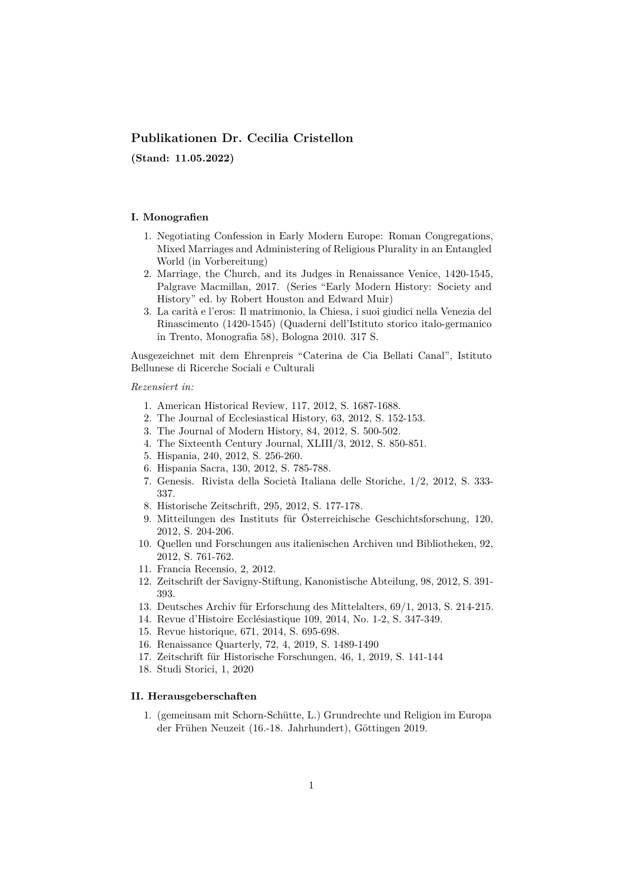# **Publikationen Dr. Cecilia Cristellon**

**(Stand: 11.05.2022)**

### **I. Monografien**

- 1. Negotiating Confession in Early Modern Europe: Roman Congregations, Mixed Marriages and Administering of Religious Plurality in an Entangled World (in Vorbereitung)
- 2. Marriage, the Church, and its Judges in Renaissance Venice, 1420-1545, Palgrave Macmillan, 2017. (Series "Early Modern History: Society and History" ed. by Robert Houston and Edward Muir)
- 3. La carità e l'eros: Il matrimonio, la Chiesa, i suoi giudici nella Venezia del Rinascimento (1420-1545) (Quaderni dell'Istituto storico italo-germanico in Trento, Monografia 58), Bologna 2010. 317 S.

Ausgezeichnet mit dem Ehrenpreis "Caterina de Cia Bellati Canal", Istituto Bellunese di Ricerche Sociali e Culturali

## *Rezensiert in:*

- 1. American Historical Review, 117, 2012, S. 1687-1688.
- 2. The Journal of Ecclesiastical History, 63, 2012, S. 152-153.
- 3. The Journal of Modern History, 84, 2012, S. 500-502.
- 4. The Sixteenth Century Journal, XLIII/3, 2012, S. 850-851.
- 5. Hispania, 240, 2012, S. 256-260.
- 6. Hispania Sacra, 130, 2012, S. 785-788.
- 7. Genesis. Rivista della Società Italiana delle Storiche, 1/2, 2012, S. 333- 337.
- 8. Historische Zeitschrift, 295, 2012, S. 177-178.
- 9. Mitteilungen des Instituts für Österreichische Geschichtsforschung, 120, 2012, S. 204-206.
- 10. Quellen und Forschungen aus italienischen Archiven und Bibliotheken, 92, 2012, S. 761-762.
- 11. Francia Recensio, 2, 2012.
- 12. Zeitschrift der Savigny-Stiftung, Kanonistische Abteilung, 98, 2012, S. 391- 393.
- 13. Deutsches Archiv für Erforschung des Mittelalters, 69/1, 2013, S. 214-215.
- 14. Revue d'Histoire Ecclésiastique 109, 2014, No. 1-2, S. 347-349.
- 15. Revue historique, 671, 2014, S. 695-698.
- 16. Renaissance Quarterly, 72, 4, 2019, S. 1489-1490
- 17. Zeitschrift für Historische Forschungen, 46, 1, 2019, S. 141-144
- 18. Studi Storici, 1, 2020

# **II. Herausgeberschaften**

1. (gemeinsam mit Schorn-Schütte, L.) Grundrechte und Religion im Europa der Frühen Neuzeit (16.-18. Jahrhundert), Göttingen 2019.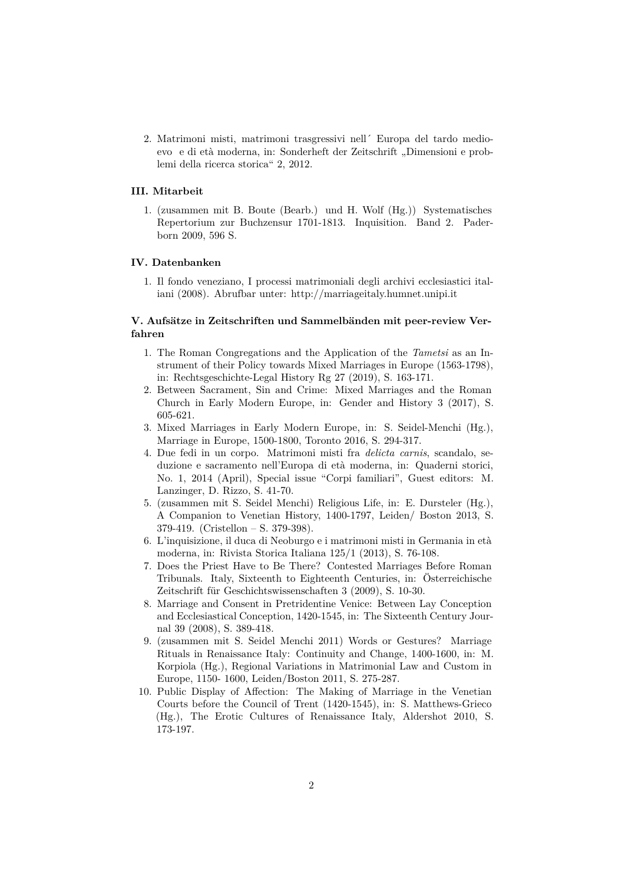2. Matrimoni misti, matrimoni trasgressivi nell´ Europa del tardo medioevo e di età moderna, in: Sonderheft der Zeitschrift "Dimensioni e problemi della ricerca storica" 2, 2012.

### **III. Mitarbeit**

1. (zusammen mit B. Boute (Bearb.) und H. Wolf (Hg.)) Systematisches Repertorium zur Buchzensur 1701-1813. Inquisition. Band 2. Paderborn 2009, 596 S.

#### **IV. Datenbanken**

1. Il fondo veneziano, I processi matrimoniali degli archivi ecclesiastici italiani (2008). Abrufbar unter: http://marriageitaly.humnet.unipi.it

## **V. Aufsätze in Zeitschriften und Sammelbänden mit peer-review Verfahren**

- 1. The Roman Congregations a[nd the Application of the](http://marriageitaly.humnet.unipi.it/) *Tametsi* as an Instrument of their Policy towards Mixed Marriages in Europe (1563-1798), in: Rechtsgeschichte-Legal History Rg 27 (2019), S. 163-171.
- 2. Between Sacrament, Sin and Crime: Mixed Marriages and the Roman Church in Early Modern Europe, in: Gender and History 3 (2017), S. 605-621.
- 3. Mixed Marriages in Early Modern Europe, in: S. Seidel-Menchi (Hg.), Marriage in Europe, 1500-1800, Toronto 2016, S. 294-317.
- 4. Due fedi in un corpo. Matrimoni misti fra *delicta carnis*, scandalo, seduzione e sacramento nell'Europa di età moderna, in: Quaderni storici, No. 1, 2014 (April), Special issue "Corpi familiari", Guest editors: M. Lanzinger, D. Rizzo, S. 41-70.
- 5. (zusammen mit S. Seidel Menchi) Religious Life, in: E. Dursteler (Hg.), A Companion to Venetian History, 1400-1797, Leiden/ Boston 2013, S. 379-419. (Cristellon – S. 379-398).
- 6. L'inquisizione, il duca di Neoburgo e i matrimoni misti in Germania in età moderna, in: Rivista Storica Italiana 125/1 (2013), S. 76-108.
- 7. Does the Priest Have to Be There? Contested Marriages Before Roman Tribunals. Italy, Sixteenth to Eighteenth Centuries, in: Österreichische Zeitschrift für Geschichtswissenschaften 3 (2009), S. 10-30.
- 8. Marriage and Consent in Pretridentine Venice: Between Lay Conception and Ecclesiastical Conception, 1420-1545, in: The Sixteenth Century Journal 39 (2008), S. 389-418.
- 9. (zusammen mit S. Seidel Menchi 2011) Words or Gestures? Marriage Rituals in Renaissance Italy: Continuity and Change, 1400-1600, in: M. Korpiola (Hg.), Regional Variations in Matrimonial Law and Custom in Europe, 1150- 1600, Leiden/Boston 2011, S. 275-287.
- 10. Public Display of Affection: The Making of Marriage in the Venetian Courts before the Council of Trent (1420-1545), in: S. Matthews-Grieco (Hg.), The Erotic Cultures of Renaissance Italy, Aldershot 2010, S. 173-197.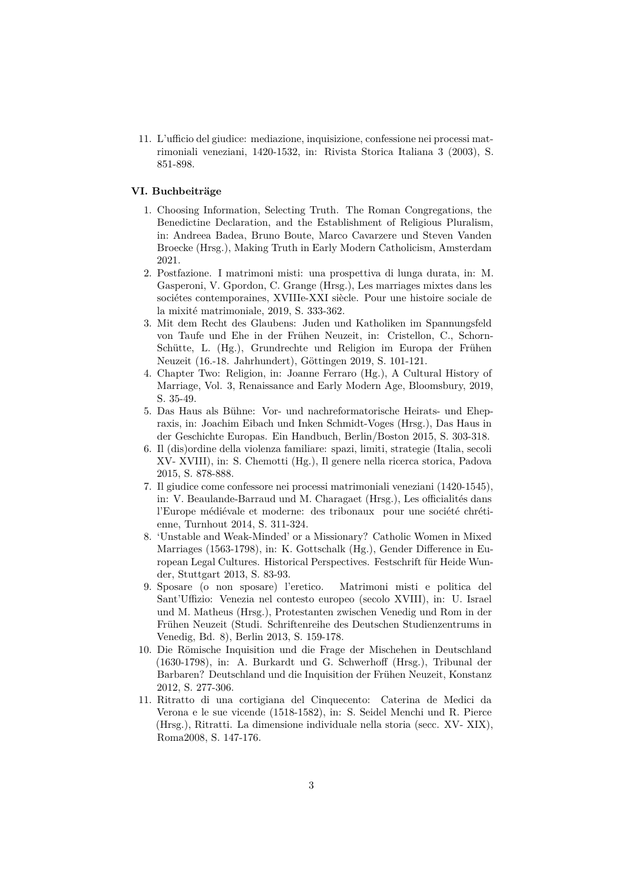11. L'ufficio del giudice: mediazione, inquisizione, confessione nei processi matrimoniali veneziani, 1420-1532, in: Rivista Storica Italiana 3 (2003), S. 851-898.

### **VI. Buchbeiträge**

- 1. Choosing Information, Selecting Truth. The Roman Congregations, the Benedictine Declaration, and the Establishment of Religious Pluralism, in: Andreea Badea, Bruno Boute, Marco Cavarzere und Steven Vanden Broecke (Hrsg.), Making Truth in Early Modern Catholicism, Amsterdam 2021.
- 2. Postfazione. I matrimoni misti: una prospettiva di lunga durata, in: M. Gasperoni, V. Gpordon, C. Grange (Hrsg.), Les marriages mixtes dans les sociétes contemporaines, XVIIIe-XXI siècle. Pour une histoire sociale de la mixité matrimoniale, 2019, S. 333-362.
- 3. Mit dem Recht des Glaubens: Juden und Katholiken im Spannungsfeld von Taufe und Ehe in der Frühen Neuzeit, in: Cristellon, C., Schorn-Schütte, L. (Hg.), Grundrechte und Religion im Europa der Frühen Neuzeit (16.-18. Jahrhundert), Göttingen 2019, S. 101-121.
- 4. Chapter Two: Religion, in: Joanne Ferraro (Hg.), A Cultural History of Marriage, Vol. 3, Renaissance and Early Modern Age, Bloomsbury, 2019, S. 35-49.
- 5. Das Haus als Bühne: Vor- und nachreformatorische Heirats- und Ehepraxis, in: Joachim Eibach und Inken Schmidt-Voges (Hrsg.), Das Haus in der Geschichte Europas. Ein Handbuch, Berlin/Boston 2015, S. 303-318.
- 6. Il (dis)ordine della violenza familiare: spazi, limiti, strategie (Italia, secoli XV- XVIII), in: S. Chemotti (Hg.), Il genere nella ricerca storica, Padova 2015, S. 878-888.
- 7. Il giudice come confessore nei processi matrimoniali veneziani (1420-1545), in: V. Beaulande-Barraud und M. Charagaet (Hrsg.), Les officialités dans l'Europe médiévale et moderne: des tribonaux pour une société chrétienne, Turnhout 2014, S. 311-324.
- 8. 'Unstable and Weak-Minded' or a Missionary? Catholic Women in Mixed Marriages (1563-1798), in: K. Gottschalk (Hg.), Gender Difference in European Legal Cultures. Historical Perspectives. Festschrift für Heide Wunder, Stuttgart 2013, S. 83-93.
- 9. Sposare (o non sposare) l'eretico. Matrimoni misti e politica del Sant'Uffizio: Venezia nel contesto europeo (secolo XVIII), in: U. Israel und M. Matheus (Hrsg.), Protestanten zwischen Venedig und Rom in der Frühen Neuzeit (Studi. Schriftenreihe des Deutschen Studienzentrums in Venedig, Bd. 8), Berlin 2013, S. 159-178.
- 10. Die Römische Inquisition und die Frage der Mischehen in Deutschland (1630-1798), in: A. Burkardt und G. Schwerhoff (Hrsg.), Tribunal der Barbaren? Deutschland und die Inquisition der Frühen Neuzeit, Konstanz 2012, S. 277-306.
- 11. Ritratto di una cortigiana del Cinquecento: Caterina de Medici da Verona e le sue vicende (1518-1582), in: S. Seidel Menchi und R. Pierce (Hrsg.), Ritratti. La dimensione individuale nella storia (secc. XV- XIX), Roma2008, S. 147-176.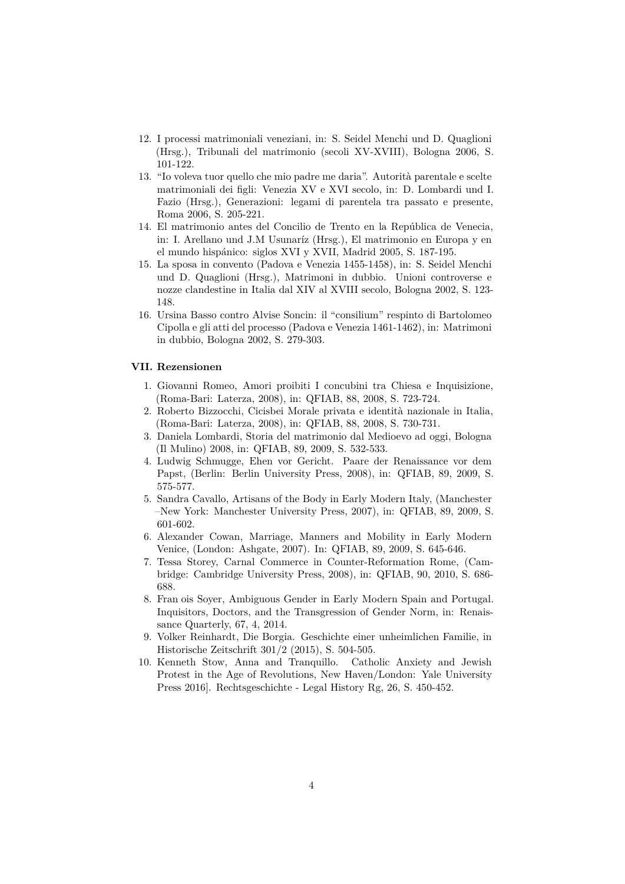- 12. I processi matrimoniali veneziani, in: S. Seidel Menchi und D. Quaglioni (Hrsg.), Tribunali del matrimonio (secoli XV-XVIII), Bologna 2006, S. 101-122.
- 13. "Io voleva tuor quello che mio padre me daria". Autorità parentale e scelte matrimoniali dei figli: Venezia XV e XVI secolo, in: D. Lombardi und I. Fazio (Hrsg.), Generazioni: legami di parentela tra passato e presente, Roma 2006, S. 205-221.
- 14. El matrimonio antes del Concilio de Trento en la República de Venecia, in: I. Arellano und J.M Usunaríz (Hrsg.), El matrimonio en Europa y en el mundo hispánico: siglos XVI y XVII, Madrid 2005, S. 187-195.
- 15. La sposa in convento (Padova e Venezia 1455-1458), in: S. Seidel Menchi und D. Quaglioni (Hrsg.), Matrimoni in dubbio. Unioni controverse e nozze clandestine in Italia dal XIV al XVIII secolo, Bologna 2002, S. 123- 148.
- 16. Ursina Basso contro Alvise Soncin: il "consilium" respinto di Bartolomeo Cipolla e gli atti del processo (Padova e Venezia 1461-1462), in: Matrimoni in dubbio, Bologna 2002, S. 279-303.

#### **VII. Rezensionen**

- 1. Giovanni Romeo, Amori proibiti I concubini tra Chiesa e Inquisizione, (Roma-Bari: Laterza, 2008), in: QFIAB, 88, 2008, S. 723-724.
- 2. Roberto Bizzocchi, Cicisbei Morale privata e identità nazionale in Italia, (Roma-Bari: Laterza, 2008), in: QFIAB, 88, 2008, S. 730-731.
- 3. Daniela Lombardi, Storia del matrimonio dal Medioevo ad oggi, Bologna (Il Mulino) 2008, in: QFIAB, 89, 2009, S. 532-533.
- 4. Ludwig Schmugge, Ehen vor Gericht. Paare der Renaissance vor dem Papst, (Berlin: Berlin University Press, 2008), in: QFIAB, 89, 2009, S. 575-577.
- 5. Sandra Cavallo, Artisans of the Body in Early Modern Italy, (Manchester –New York: Manchester University Press, 2007), in: QFIAB, 89, 2009, S. 601-602.
- 6. Alexander Cowan, Marriage, Manners and Mobility in Early Modern Venice, (London: Ashgate, 2007). In: QFIAB, 89, 2009, S. 645-646.
- 7. Tessa Storey, Carnal Commerce in Counter-Reformation Rome, (Cambridge: Cambridge University Press, 2008), in: QFIAB, 90, 2010, S. 686- 688.
- 8. Fran ois Soyer, Ambiguous Gender in Early Modern Spain and Portugal. Inquisitors, Doctors, and the Transgression of Gender Norm, in: Renaissance Quarterly, 67, 4, 2014.
- 9. Volker Reinhardt, Die Borgia. Geschichte einer unheimlichen Familie, in Historische Zeitschrift 301/2 (2015), S. 504-505.
- 10. Kenneth Stow, Anna and Tranquillo. Catholic Anxiety and Jewish Protest in the Age of Revolutions, New Haven/London: Yale University Press 2016]. Rechtsgeschichte - Legal History Rg, 26, S. 450-452.